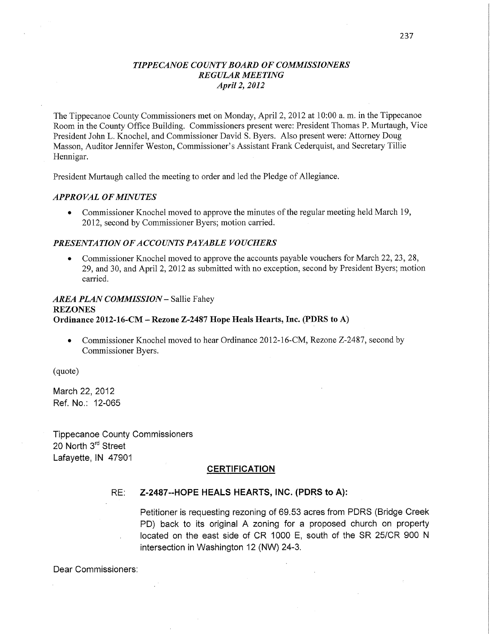## *TIPPEC'ANOE* co *UNTYBOARD* OF *COMMISSIONERS REGULAR MEETING April* 2, *2012*

The Tippecanoe County Commissioners met on Monday, April 2, 2012 at 10:00 a. m. in the Tippecanoe Room in the County Office Building. Commissioners present were: President Thomas P. Murtaugh, Vice President John L. Knochel, and Commissioner David S. Byers. Also present were: Attorney Doug Masson, Auditor Jennifer Weston, Commissioner's Assistant Frank Cederquist, and Secretary Tillie Hennigar.

President Murtaugh called the meeting to order and led the Pledge of Allegiance.

#### *APPROVAL* OF *MINUTES*

**0** Commissioner Knochel moved to approve the minutes of the regular meetihg held March 19, 2012, second by Commissioner Byers; motion carried. '

### *PRESENTATION* OF *ACCOUNT S PAYABLE VOUCHERS*

**0** Commissioner Knochel moved to approve the accounts payable vouchers for March 22, 23, 28, 29, and 30, and April 2, 2012 as submitted with no exception, second by President Byers; motion carried.

## *AREA PLAN COMMISSION* —- Sallie Fahey **REZONES Ordinance 2012-16-CM** — **Rezone Z-2487 Hope Heals Hearts, Inc.** (PDRS to A)

**0** Commissioner Knochel moved to hear Ordinance 2012-16-CM, Rezone Z-2487, second by Commissioner Byers.

(quote)

March 22, 2012 Ref. **No.:** 12-065

Tippecanoe County **Commissioners**  20 North 3rd Street Lafayette, IN 47901

#### **CERTIFICATION**

#### RE: **Z-2487--HOPE** HEALS **HEARTS, INC. (PDRS** to A):

Petitioner is requesting rezoning of 69.53 acres from PDRS (Bridge Creek PD) back to its original A zoning for a **proposed** church on property located on the east side of CR 1000 E, **south** of the SR 25/CR 900 N intersection in Washington 12 (NW) 24-3.

Dear **Commissioners:**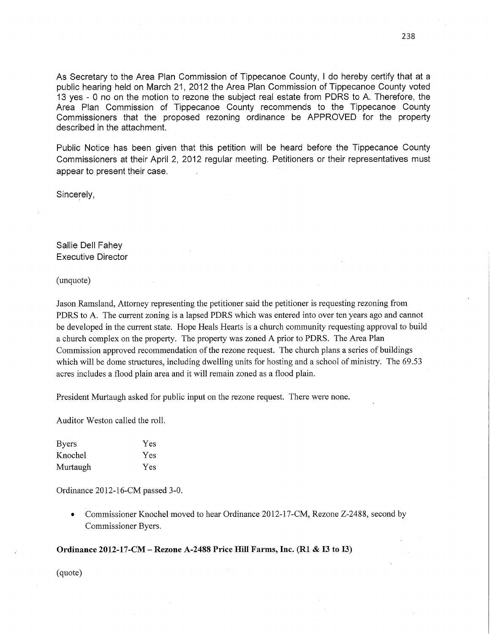As Secretary to the Area Plan **Commission** of Tippecanoe County, *I* do hereby certify that at <sup>a</sup> public hearing-held on March 21, 2012 the Area Plan Commission of Tippecanoe County voted <sup>13</sup>yes *-* 0 no on the motion to rezone the subject real estate from PDRS to A. Therefore, the Area Plan **Commission** of Tippecanoe County recommends to the Tippecanoe County Commissioners **that** the proposed rezoning ordinance be APPROVED for the property described in the attachment.

Public Notice- has been given **that this** petition will be heard before the Tippecanoe County Commissioners at their April 2, 2012 regular meeting. Petitioners or their representatives must appear to present **their** case. '

Sincerely,

Sallie Dell Fahey Executive Director

(unquote)

Jason Ramsland, Attorney representing the petitioner said the petitioner is requesting rezoning from PDRS to A. The current zoning is **a** lapsed PDRS which was entered into over ten years ago and cannot be developed in the current state. Hope Heals Hearts is a church community requesting approval to build <sup>a</sup>church complex on the property. The property was zoned **A** prior to PDRS. The Area Plan Commission approved recommendation of the rezone request. The church plans a series of buildings which will be dome structures, including dwelling units for hosting and a school of ministry. The 69.53 acres includes a **flood** plain area and it will remain zoned as <sup>a</sup>flood plain.

President Murtaugh asked for public input on the rezone request. There were none.

Auditor Weston called the roll.

| <b>Byers</b> | Yes |
|--------------|-----|
| Knochel      | Yes |
| Murtaugh     | Yes |

Ordinance 2012—16-CM passed 3-0.

**0** Commissioner Knochel moved to hear Ordinance 2012-17-CM, Rezone Z-2488, second by Commissioner Byers.

## **Ordinance 2012-17-CM** -— **Rezone A-2488 Price** Hill **Farms,** Inc. (R1 **&** 13 to 13)

(quote)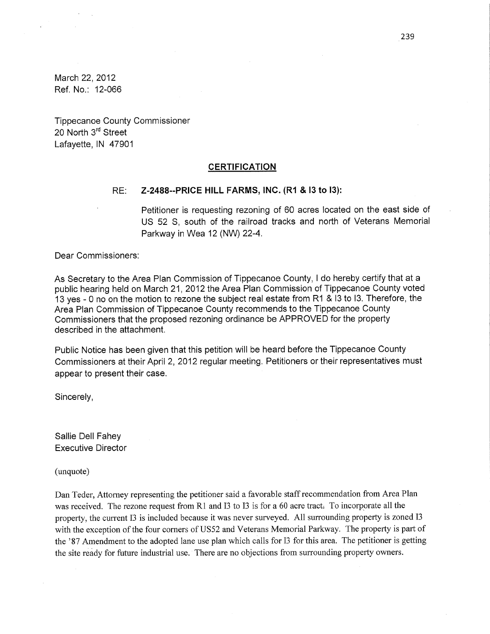March 22, 2012 Ref. **No.:** 12-066

Tippecanoe County **Commissioner**  20 North 3<sup>rd</sup> Street Lafayette, IN 47901

#### **CERTIFICATION**

## RE: **Z-2488--PRICE HILL FARMS, INC.** (R1 **&** I3 to **l3):**

Petitioner is requesting rezoning of 60 acres located on the east **side** of US 52 8, south of the railroad tracks and north of Veterans Memorial Parkway in Wea 12 (NW) **22—4.** 

Dear **Commissioners:** 

As Secretary to the Area Plan **Commission** of Tippecanoe County, *I* do hereby certify **that** at a public hearing **held** on March 21, 2012 the Area Plan **Commission** of Tippecanoe County voted <sup>13</sup>yes — **0** no on the motion to rezone the subject real estate **from** R1 & I3 to I3. Therefore, the Area Plan Commission of Tippecanoe County recommends to the Tippecanoe County Commissioners that the proposed rezoning ordinance be APPROVED for the property described in the attachment.

Public Notice has been given that **this petition** will be **heard** before the Tippecanoe County **Commissioners** at their April 2, 2012 regular meeting. Petitioners or their representatives **must**  appear to present **their** case. '

Sincerely,

*'* Sallie Dell Fahey Executive Director

(unquote)

Dan Teder, Attorney representing the petitioner said a favorable staff recommendation from Area Plan was received. The rezone request from R1 and I3 to 13 is for **a** 60 acre **tract:** To incorporate all the property, the current 13 is included because it was never surveyed. All **surrounding** property is zoned <sup>13</sup> with the exception of the four comers of U852 and Veterans Memorial Parkway. The property is part of the '87 Amendment to the adopted lane use **plan** which calls for I3 for this area. The petitioner is getting the site ready for future industrial use. *'* There are no objections from surrounding property owners.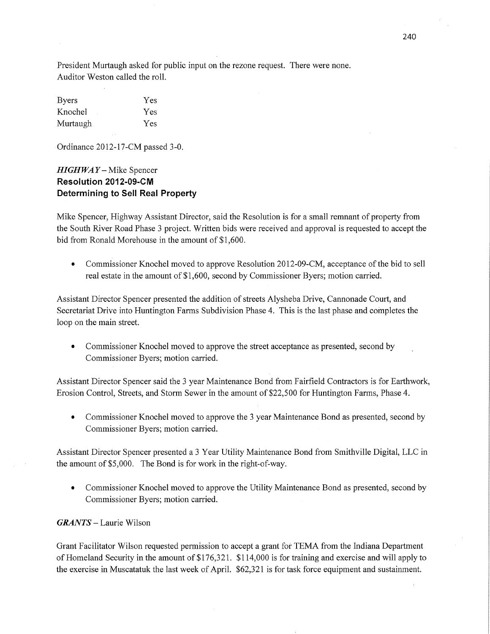President Murtaugh asked for public input on the rezone request. There were none. Auditor Weston called the roll.

| <b>Byers</b> | Yes |
|--------------|-----|
| Knochel      | Yes |
| Murtaugh     | Yes |

Ordinance 2012-17-CM passed 3-0.

# *HIGHWAY* – Mike Spencer **Resolution** 2012-09-CM Determining to **Sell Real Property**

Mike Spencer, Highway Assistant Director, said the Resolution is for a small remnant of property from the South River Road Phase 3 project. Written bids were received and approval is requested to accept the bid from Ronald Morehouse in the amount of \$1,600.

**0** Commissioner Knochel moved to approve Resolution 2012-09—CM, acceptance of the bid to sell real estate in the amount of \$1,600, second by Commissioner Byers; motion carried.

Assistant Director Spencer presented the addition of streets Alysheba Drive, Cannonade Court, and Secretariat Drive into Huntington Farms Subdivision Phase 4. This is the last phase and completes the loop on the main street.

**0** Commissioner Knochel moved to approve the street acceptance as presented, second by Commissioner Byers; motion carried.

Assistant Director Spencer said the 3 year Maintenance Bond from Fairfield Contractors is for Earthwork, Erosion Control, Streets, and Storm Sewer in the amount of \$22,500 for Huntington Farms, Phase 4.

**0** Commissioner Knochel moved to approve the 3 year Maintenance Bond as presented, second by Commissioner Byers; motion carried.

Assistant Director Spencer presented a 3 Year Utility Maintenance Bond from Smithville Digital, LLC in the amount of \$5,000. The Bond is for work in the right-of-way.

• Commissioner Knochel moved to approve the Utility Maintenance Bond as presented, second by Commissioner Byers; motion carried.

# *GRANTS —* Laurie Wilson

Grant Facilitator Wilson requested permission to accept <sup>a</sup>grant for TEMA from the Indiana Department of Homeland Security in the amount of \$176,321. \$114,000 is for training and exercise and will apply to the exercise in Muscatatuk the last week of April. \$62,321 is for task force equipment and sustainment.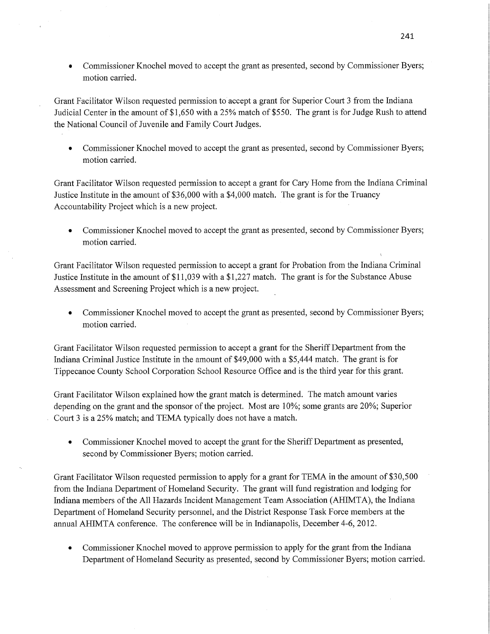**0** Commissioner Knochel moved to accept the grant as presented, second by Commissioner Byers; motion carried.

Grant Facilitator Wilson requested permission to'accept a grant for Superior Court 3 from the Indiana Judicial Center in the amount of \$1,650 with a 25% match of \$550. The grant is for Judge Rush to attend the National Council of Juvenile and Family Court Judges.

• Commissioner Knochel moved to accept the grant as presented, second by Commissioner Byers; motion carried.

Grant Facilitator Wilson requested permission to accept a grant for Cary Home from the Indiana Criminal Justice Institute in the amount of \$36,000 with a \$4,000 match. The grant is for the Truancy Accountability Project which is a new project.

**0** Commissioner Knochel moved to accept the grant as presented, second by Commissioner Byers; motion carried.

Grant Facilitator Wilson requested permission to accept a grant for Probation from the Indiana Criminal Justice Institute in the amount of \$11,039 with a \$1,227 match. The grant is for the Substance Abuse Assessment and Screening Project which is a new project.

**0** Commissioner Knochel moved to accept the grant as presented, second by Commissioner Byers; motion carried.

Grant Facilitator Wilson requested permission to accept a grant for the Sheriff Department from the Indiana Criminal Justice Institute in the amount of \$49,000 with a \$5,444 match. The grant is for Tippecanoe County School Corporation School Resource Office and is the third year for this grant.

Grant Facilitator Wilson explained how the grant match is determined. The match amount varies depending on the grant and the sponsor of the project. Most are 10%; some grants are 20%; Superior . Court 3 is a 25% match; and TEMA typically does not have a match.

**0** Commissioner Knochel moved to accept the grant for the Sheriff Department as presented, second by Commissioner Byers; motion carried.

Grant Facilitator Wilson requested permission to apply for a grant for TEMA in the amount of \$30,500 from the Indiana Department of Homeland Security. The grant will fund registration and lodging for Indiana members of the All Hazards Incident Management Team Association (AHIMTA), the Indiana Department of Homeland Security personnel, and the District Response Task Force members at the annual AHIMTA conference. The conference will be in Indianapolis, December 4-6, 2012.

**0** Commissioner Knochel moved to approve permission to apply for the grant from the Indiana Department of Homeland Security as presented, second by Commissioner Byers; motion carried.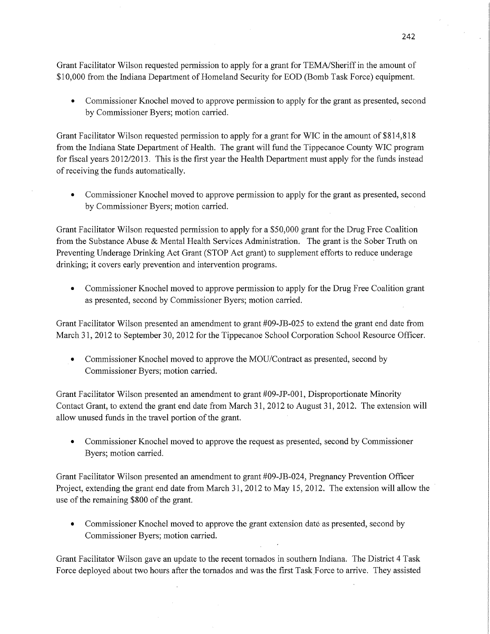Grant Facilitator Wilson requested permission to apply for <sup>a</sup>grant for TEMA/Sheriff in the amount of \$10,000 from the Indiana Department of Homeland Security for EOD (Bomb Task Force) equipment.

**0** Commissioner Knochel moved to approve permission to apply for the grant as presented, second by Commissioner Byers; motion carried.

Grant Facilitator Wilson requested permission to apply for <sup>a</sup>grant for WIC in the amount of \$814,818 from the Indiana State Department of Health. The grant will **fund** the Tippecanoe County WIC program for fiscal years 2012/2013. This is the first year the Health Department must apply for the funds instead of receiving the **funds** automatically.

**0** Commissioner Knochel moved to approve permission to apply for the grant as presented, second by Commissioner Byers; motion carried.

Grant Facilitator Wilson requested permission to apply for a \$50,000 grant for the Drug Free Coalition from the Substance Abuse & Mental Health Services Administration. The grant is the Sober Truth on Preventing Underage Drinking Act Grant (STOP Act grant) to supplement efforts to reduce underage drinking; it covers early prevention and intervention programs. '

**0** Commissioner Knochel moved to approve permission to apply for the Drug Free Coalition gran<sup>t</sup> as presented, second by Commissioner Byers; motion carried.

Grant Facilitator Wilson presented an amendment to grant #09-JB-025 to extend the grant end date from March 31, 2012 to September 30, 2012 for the Tippecanoe School Corporation School Resource **Officer.** 

• Commissioner Knochel moved to approve the MOU/Contract as presented, second by Commissioner Byers; motion carried.

Grant Facilitator Wilson presented an amendment to grant #09-JP-001, Disproportionate Minority Contact Grant, to extend the grant end date from March 31, 2012 to August 31, 2012. The extension will allow unused funds in the travel portion of the grant.

• Commissioner Knochel moved to approve the request as presented, second by Commissioner Byers; motion carried.

Grant Facilitator Wilson presented an amendment to grant #09—JB-024, Pregnancy Prevention Officer Project, extending the grant end date from March 31, 2012 to May 15, 2012. The extension will allow the use of the remaining \$800 of the grant.

• Commissioner Knochel moved to approve the grant extension date as presented, second by Commissioner Byers; motion carried.

Grant Facilitator Wilson gave an update to the recent tornados in southern Indiana. The District 4 Task Force deployed about two hours after the tornados and was the first Task Force to arrive. They assisted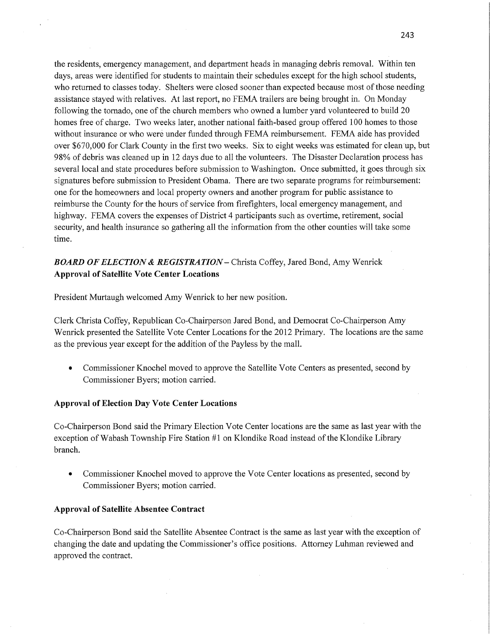the residents, emergency management, and department heads in managing debris removal. Within ten days, areas were identified for students to maintain their schedules except for the high school students, who returned to classes today. Shelters were closed sooner than expected because most of those needing assistance stayed with relatives. At last report, no FEMA trailers are being brought in. On Monday following the tornado, one of the church members who owned a lumber yard volunteered to build 20 homes free of charge. Two weeks later, another national faith-based group offered 100 homes to those without insurance or who were under funded through FEMA reimbursement. FEMA aide has provided over \$670,000 for Clark County in the first two weeks. Six to eight weeks was estimated for cleanup, but 98% of debris was cleaned up in 12 days due to all the volunteers. The Disaster Declaration process has several local and state procedures before submission to Washington. Once submitted, it goes through six signatures before submission to President Obama. There are two separate programs for reimbursement: one for the homeowners and local property owners and another program for public assistance to reimburse the County for the hours of service from firefighters, local emergency management, and highway. FEMA covers the expenses of District 4 participants such as overtime, retirement, social security, and health insurance so gathering all the information from the other counties will take some time.

# *BOARD* OF *ELECTION & REGISTRATION* — Christa Coffey, Jared Bond, Amy Wenrick **Approval** of **Satellite Vote Center Locations** '

President Murtaugh welcomed Amy Wenrick to her new position.

Clerk Christa Coffey, Republican Co-Chairperson Jared Bond, and Democrat Co-Chairperson Amy Wenrick presented the Satellite Vote Center Locations for the 2012 Primary. The locations are the same as the previous year except for the addition of the Payless by the mall.

• Commissioner Knochel moved to approve the Satellite Vote Centers as presented, second by Commissioner Byers; motion carried.

#### **Approval** of Election Day **Vote Center** Locations

Co—Chairperson Bond said the Primary Election Vote Center locations are the same as last year with the exception of Wabash Township Fire Station #1 on Klondike Road instead of the Klondike Library branch.

• Commissioner Knochel moved to approve the Vote Center locations as presented, second by Commissioner Byers; motion carried.

#### **Approval** of Satellité **Absentee Contract**

Co-Chairperson Bond said the Satellite Absentee Contract is the same as last year with the exception of changing the date and updating the Commissioner's office positions. Attorney Luhman reviewed and approved the contract.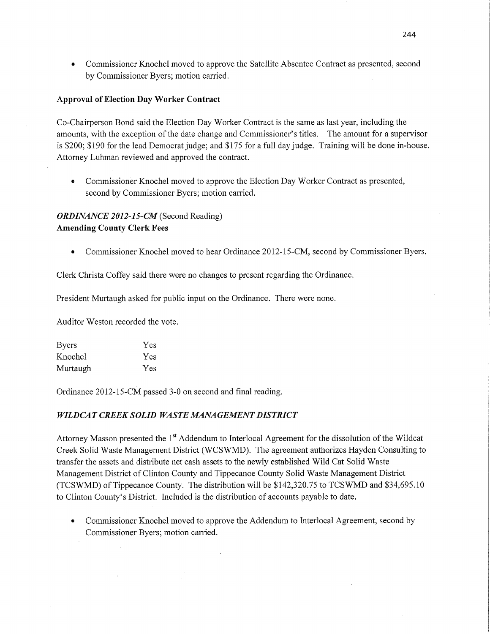**0** Commissioner Knochel moved to approve the Satellite Absentee Contract as presented, second by Commissioner Byers; motion carried.

## **Approval** of **Election** Day **Worker Contract**

Co—Chairperson Bond said the Election Day Worker Contract is the same as last year, including the amounts, with the exception of the date change and Commissioner's titles. The, amount for a supervisor is \$200; \$190 for the lead Democrat judge; and \$175 for a full day judge. Training will be done in-house. Attorney Luhman reviewed and approved the contract.

**0** Commissioner Knochel moved to approve the Election Day Worker Contract as presented, second by Commissioner Byers; motion carried.

# *ORDINANCE 2012-15-CM* (Second Reading) **Amending County Clerk Fees**

**0** Commissioner Knochel moved to hear Ordinance 2012—15—CM, second by Commissioner Byers.

Clerk Christa Coffey said there were no changes to present regarding the Ordinance.

President Murtaugh asked for public input on the Ordinance. There were none.

Auditor Weston recorded the vote.

| <b>Byers</b> | Yes |
|--------------|-----|
| Knochel      | Yes |
| Murtaugh     | Yes |

Ordinance 2012-15—CM passed 3-0 on second and final reading.

## *WILDCAT CREEK SOLID WASTE MANA GEMENT DISTRICT*

Attorney Masson presented the 1<sup>st</sup> Addendum to Interlocal Agreement for the dissolution of the Wildcat Creek Solid Waste Management District (WCSWMD). The agreement authorizes Hayden Consulting to transfer the assets and distribute net cash assets to the newly established Wild Cat Solid Waste Management District of Clinton County and Tippecanoe County Solid Waste Management District (TCSWMD) of Tippecanoe County. The distribution will be \$142,320.75 to TCSWMD and \$34,695.10 to Clinton County's District. Included is the distribution of accounts payable to date.

**0** Commissioner Knochel moved to approve the Addendum to Interlocal Agreement, second by Commissioner Byers; motion carried.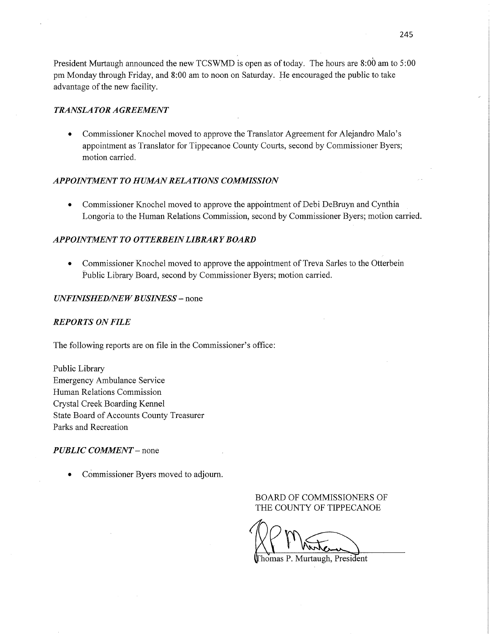President Murtaugh announced the new TCSWMD is open as of today. The hours are 8:00 am to 5:00 pm Monday through Friday, and 8:00 am to noon on Saturday. He encouraged the public to take advantage of the new facility.

## *T RANSLA* TOR *A GREEMEN T*

• Commissioner Knochel moved to approve the Translator Agreement for Alejandro Malo's appointment as Translator for Tippecanoe County Courts, second by Commissioner Byers; motion carried.

# *APPOINTMENT* T0 *HUMAN RELA TIONS COMMISSION*

**0** Commissioner Knochel moved to approve the appointment of Debi DeBruyn and Cynthia Longoria to the Human Relations Commission, second by Commissioner Byers; motion carried.

## *APPOINTMENT T 0 OTTERBEIN LIBRARY B OARD*

• Commissioner Knochel moved to approve the appointment of Treva Sarles to the Otterbein Fublic Library Board, second by Commissioner Byers; motion carried.

## *UNFINISHED/NEW BUSINESS* – none

## *REPORTS* ON *FILE*

The following reports are on file in the Commissioner's office:

Public Library Emergency Ambulance Service Human Relations Commission Crystal Creek Boarding Kennel State Board of Accounts County Treasurer Parks and Recreation

## *PUBLIC COMMENT* **—** none

**0** Commissioner Byers moved to adjourn.

# BOARD OF COMMISSIONERS OF THE COUNTY OF TIPPECANOE

R Montan

homas P. Murtaugh, President